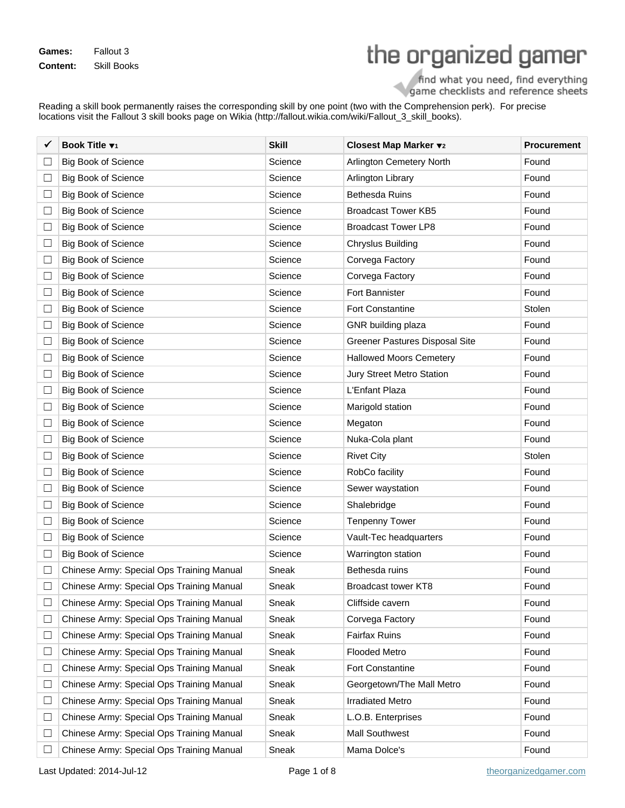**Games:** Fallout 3 **Content:** Skill Books

## the organized gamer

find what you need, find everything<br>game checklists and reference sheets

Reading a skill book permanently raises the corresponding skill by one point (two with the Comprehension perk). For precise locations visit the Fallout 3 skill books page on Wikia (http://fallout.wikia.com/wiki/Fallout\_3\_skill\_books).

|        | Book Title v1                             | <b>Skill</b> | Closest Map Marker v2          | <b>Procurement</b> |
|--------|-------------------------------------------|--------------|--------------------------------|--------------------|
| ⊔      | <b>Big Book of Science</b>                | Science      | Arlington Cemetery North       | Found              |
| ⊔      | <b>Big Book of Science</b>                | Science      | Arlington Library              | Found              |
| ⊔      | <b>Big Book of Science</b>                | Science      | <b>Bethesda Ruins</b>          | Found              |
| $\Box$ | <b>Big Book of Science</b>                | Science      | <b>Broadcast Tower KB5</b>     | Found              |
| ⊔      | <b>Big Book of Science</b>                | Science      | <b>Broadcast Tower LP8</b>     | Found              |
| ⊔      | <b>Big Book of Science</b>                | Science      | <b>Chryslus Building</b>       | Found              |
| $\Box$ | <b>Big Book of Science</b>                | Science      | Corvega Factory                | Found              |
| ⊔      | <b>Big Book of Science</b>                | Science      | Corvega Factory                | Found              |
| ⊔      | <b>Big Book of Science</b>                | Science      | <b>Fort Bannister</b>          | Found              |
| $\Box$ | <b>Big Book of Science</b>                | Science      | <b>Fort Constantine</b>        | Stolen             |
| ⊔      | <b>Big Book of Science</b>                | Science      | GNR building plaza             | Found              |
| ⊔      | <b>Big Book of Science</b>                | Science      | Greener Pastures Disposal Site | Found              |
| $\Box$ | <b>Big Book of Science</b>                | Science      | <b>Hallowed Moors Cemetery</b> | Found              |
| ⊔      | <b>Big Book of Science</b>                | Science      | Jury Street Metro Station      | Found              |
| ⊔      | <b>Big Book of Science</b>                | Science      | L'Enfant Plaza                 | Found              |
| $\Box$ | <b>Big Book of Science</b>                | Science      | Marigold station               | Found              |
| ⊔      | <b>Big Book of Science</b>                | Science      | Megaton                        | Found              |
| ⊔      | <b>Big Book of Science</b>                | Science      | Nuka-Cola plant                | Found              |
| $\Box$ | <b>Big Book of Science</b>                | Science      | <b>Rivet City</b>              | Stolen             |
| ⊔      | <b>Big Book of Science</b>                | Science      | RobCo facility                 | Found              |
| ⊔      | <b>Big Book of Science</b>                | Science      | Sewer waystation               | Found              |
| $\Box$ | <b>Big Book of Science</b>                | Science      | Shalebridge                    | Found              |
| ⊔      | <b>Big Book of Science</b>                | Science      | <b>Tenpenny Tower</b>          | Found              |
| ⊔      | <b>Big Book of Science</b>                | Science      | Vault-Tec headquarters         | Found              |
| $\Box$ | <b>Big Book of Science</b>                | Science      | Warrington station             | Found              |
| ப      | Chinese Army: Special Ops Training Manual | Sneak        | Bethesda ruins                 | Found              |
|        | Chinese Army: Special Ops Training Manual | Sneak        | <b>Broadcast tower KT8</b>     | Found              |
| L      | Chinese Army: Special Ops Training Manual | Sneak        | Cliffside cavern               | Found              |
| ⊔      | Chinese Army: Special Ops Training Manual | Sneak        | Corvega Factory                | Found              |
| $\Box$ | Chinese Army: Special Ops Training Manual | Sneak        | <b>Fairfax Ruins</b>           | Found              |
| $\Box$ | Chinese Army: Special Ops Training Manual | Sneak        | <b>Flooded Metro</b>           | Found              |
| ⊔      | Chinese Army: Special Ops Training Manual | Sneak        | Fort Constantine               | Found              |
| $\Box$ | Chinese Army: Special Ops Training Manual | Sneak        | Georgetown/The Mall Metro      | Found              |
| $\Box$ | Chinese Army: Special Ops Training Manual | Sneak        | <b>Irradiated Metro</b>        | Found              |
| ⊔      | Chinese Army: Special Ops Training Manual | Sneak        | L.O.B. Enterprises             | Found              |
| $\Box$ | Chinese Army: Special Ops Training Manual | Sneak        | <b>Mall Southwest</b>          | Found              |
| Ш      | Chinese Army: Special Ops Training Manual | Sneak        | Mama Dolce's                   | Found              |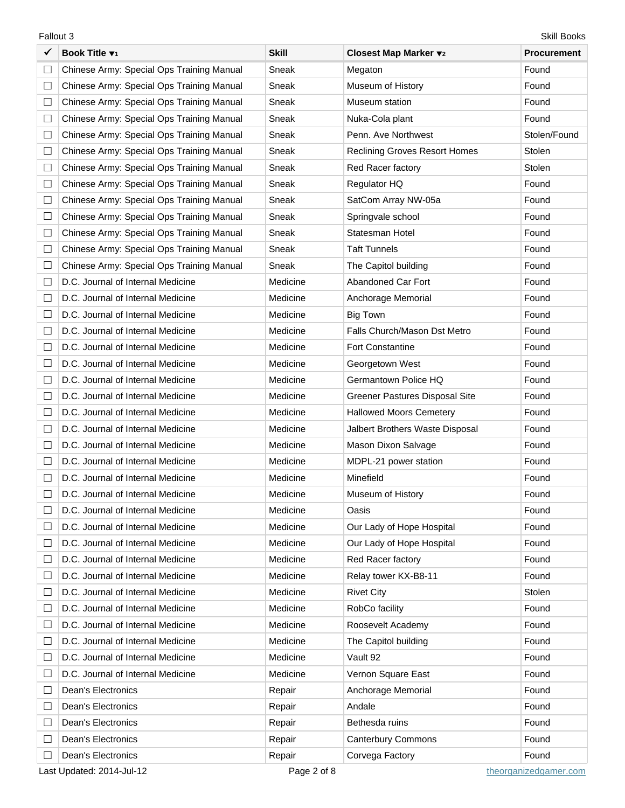| ✓      | Book Title v1                             | <b>Skill</b> | Closest Map Marker v2                | <b>Procurement</b> |
|--------|-------------------------------------------|--------------|--------------------------------------|--------------------|
| $\Box$ | Chinese Army: Special Ops Training Manual | Sneak        | Megaton                              | Found              |
| $\Box$ | Chinese Army: Special Ops Training Manual | Sneak        | Museum of History                    | Found              |
| $\Box$ | Chinese Army: Special Ops Training Manual | Sneak        | Museum station                       | Found              |
| $\Box$ | Chinese Army: Special Ops Training Manual | Sneak        | Nuka-Cola plant                      | Found              |
| $\Box$ | Chinese Army: Special Ops Training Manual | Sneak        | Penn. Ave Northwest                  | Stolen/Found       |
| $\Box$ | Chinese Army: Special Ops Training Manual | Sneak        | <b>Reclining Groves Resort Homes</b> | Stolen             |
| $\Box$ | Chinese Army: Special Ops Training Manual | Sneak        | Red Racer factory                    | Stolen             |
| $\Box$ | Chinese Army: Special Ops Training Manual | Sneak        | Regulator HQ                         | Found              |
| $\Box$ | Chinese Army: Special Ops Training Manual | Sneak        | SatCom Array NW-05a                  | Found              |
| $\Box$ | Chinese Army: Special Ops Training Manual | Sneak        | Springvale school                    | Found              |
| $\Box$ | Chinese Army: Special Ops Training Manual | Sneak        | Statesman Hotel                      | Found              |
| $\Box$ | Chinese Army: Special Ops Training Manual | Sneak        | <b>Taft Tunnels</b>                  | Found              |
| $\Box$ | Chinese Army: Special Ops Training Manual | Sneak        | The Capitol building                 | Found              |
| $\Box$ | D.C. Journal of Internal Medicine         | Medicine     | Abandoned Car Fort                   | Found              |
| ⊔      | D.C. Journal of Internal Medicine         | Medicine     | Anchorage Memorial                   | Found              |
| $\Box$ | D.C. Journal of Internal Medicine         | Medicine     | <b>Big Town</b>                      | Found              |
| □      | D.C. Journal of Internal Medicine         | Medicine     | Falls Church/Mason Dst Metro         | Found              |
| ⊔      | D.C. Journal of Internal Medicine         | Medicine     | <b>Fort Constantine</b>              | Found              |
| $\Box$ | D.C. Journal of Internal Medicine         | Medicine     | Georgetown West                      | Found              |
| □      | D.C. Journal of Internal Medicine         | Medicine     | Germantown Police HQ                 | Found              |
| ⊔      | D.C. Journal of Internal Medicine         | Medicine     | Greener Pastures Disposal Site       | Found              |
| $\Box$ | D.C. Journal of Internal Medicine         | Medicine     | <b>Hallowed Moors Cemetery</b>       | Found              |
| $\Box$ | D.C. Journal of Internal Medicine         | Medicine     | Jalbert Brothers Waste Disposal      | Found              |
| $\Box$ | D.C. Journal of Internal Medicine         | Medicine     | Mason Dixon Salvage                  | Found              |
| $\Box$ | D.C. Journal of Internal Medicine         | Medicine     | MDPL-21 power station                | Found              |
| Ш      | D.C. Journal of Internal Medicine         | Medicine     | Minefield                            | Found              |
| П      | D.C. Journal of Internal Medicine         | Medicine     | Museum of History                    | Found              |
| □      | D.C. Journal of Internal Medicine         | Medicine     | Oasis                                | Found              |
| ⊔      | D.C. Journal of Internal Medicine         | Medicine     | Our Lady of Hope Hospital            | Found              |
| $\Box$ | D.C. Journal of Internal Medicine         | Medicine     | Our Lady of Hope Hospital            | Found              |
| ⊔      | D.C. Journal of Internal Medicine         | Medicine     | Red Racer factory                    | Found              |
| ⊔      | D.C. Journal of Internal Medicine         | Medicine     | Relay tower KX-B8-11                 | Found              |
| $\Box$ | D.C. Journal of Internal Medicine         | Medicine     | <b>Rivet City</b>                    | Stolen             |
| ⊔      | D.C. Journal of Internal Medicine         | Medicine     | RobCo facility                       | Found              |
| ⊔      | D.C. Journal of Internal Medicine         | Medicine     | Roosevelt Academy                    | Found              |
| $\Box$ | D.C. Journal of Internal Medicine         | Medicine     | The Capitol building                 | Found              |
| $\Box$ | D.C. Journal of Internal Medicine         | Medicine     | Vault 92                             | Found              |
| ⊔      | D.C. Journal of Internal Medicine         | Medicine     | Vernon Square East                   | Found              |
| $\Box$ | <b>Dean's Electronics</b>                 | Repair       | Anchorage Memorial                   | Found              |
| $\Box$ | Dean's Electronics                        | Repair       | Andale                               | Found              |
| ⊔      | Dean's Electronics                        | Repair       | Bethesda ruins                       | Found              |
| ⊔      | <b>Dean's Electronics</b>                 | Repair       | <b>Canterbury Commons</b>            | Found              |
| □      | Dean's Electronics                        | Repair       | Corvega Factory                      | Found              |

Last Updated: 2014-Jul-12 example and theorganized and theorganized gamer.com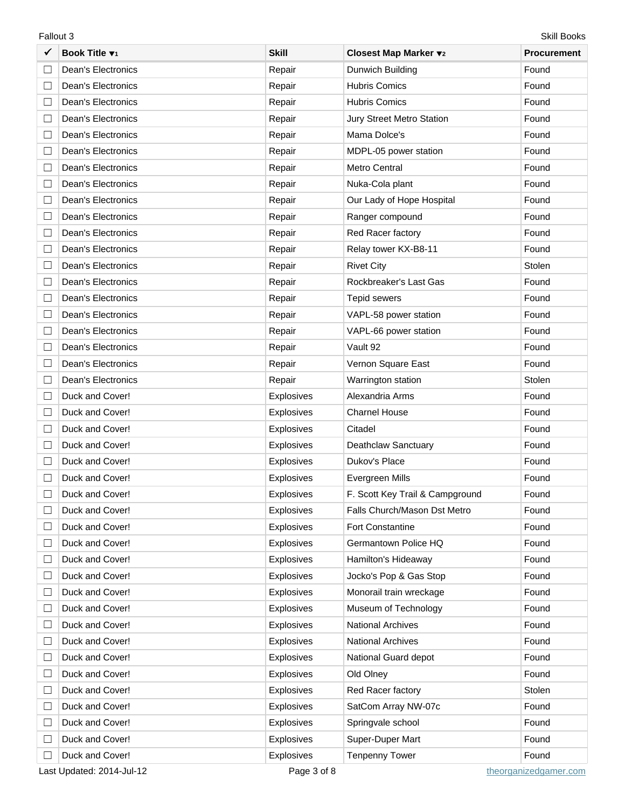|        | Book Title v1             | <b>Skill</b>      | Closest Map Marker v2           | <b>Procurement</b> |
|--------|---------------------------|-------------------|---------------------------------|--------------------|
| $\Box$ | <b>Dean's Electronics</b> | Repair            | Dunwich Building                | Found              |
| $\Box$ | <b>Dean's Electronics</b> | Repair            | <b>Hubris Comics</b>            | Found              |
| ⊔      | Dean's Electronics        | Repair            | <b>Hubris Comics</b>            | Found              |
| ⊔      | Dean's Electronics        | Repair            | Jury Street Metro Station       | Found              |
| $\Box$ | <b>Dean's Electronics</b> | Repair            | Mama Dolce's                    | Found              |
| ⊔      | Dean's Electronics        | Repair            | MDPL-05 power station           | Found              |
| ⊔      | <b>Dean's Electronics</b> | Repair            | Metro Central                   | Found              |
| $\Box$ | <b>Dean's Electronics</b> | Repair            | Nuka-Cola plant                 | Found              |
| ⊔      | Dean's Electronics        | Repair            | Our Lady of Hope Hospital       | Found              |
| ⊔      | Dean's Electronics        | Repair            | Ranger compound                 | Found              |
| ⊔      | <b>Dean's Electronics</b> | Repair            | Red Racer factory               | Found              |
| ⊔      | Dean's Electronics        | Repair            | Relay tower KX-B8-11            | Found              |
| ⊔      | Dean's Electronics        | Repair            | <b>Rivet City</b>               | Stolen             |
| $\Box$ | <b>Dean's Electronics</b> | Repair            | Rockbreaker's Last Gas          | Found              |
| ⊔      | Dean's Electronics        | Repair            | Tepid sewers                    | Found              |
| ⊔      | Dean's Electronics        | Repair            | VAPL-58 power station           | Found              |
| ⊔      | <b>Dean's Electronics</b> | Repair            | VAPL-66 power station           | Found              |
| ⊔      | Dean's Electronics        | Repair            | Vault 92                        | Found              |
| ⊔      | Dean's Electronics        | Repair            | Vernon Square East              | Found              |
| ⊔      | <b>Dean's Electronics</b> | Repair            | Warrington station              | Stolen             |
| ⊔      | Duck and Cover!           | Explosives        | Alexandria Arms                 | Found              |
| ⊔      | Duck and Cover!           | <b>Explosives</b> | <b>Charnel House</b>            | Found              |
| $\Box$ | Duck and Cover!           | <b>Explosives</b> | Citadel                         | Found              |
| ⊔      | Duck and Cover!           | <b>Explosives</b> | Deathclaw Sanctuary             | Found              |
| ⊔      | Duck and Cover!           | Explosives        | Dukov's Place                   | Found              |
| $\Box$ | Duck and Cover!           | Explosives        | Evergreen Mills                 | Found              |
|        | Duck and Cover!           | Explosives        | F. Scott Key Trail & Campground | Found              |
|        | Duck and Cover!           | Explosives        | Falls Church/Mason Dst Metro    | Found              |
| $\Box$ | Duck and Cover!           | <b>Explosives</b> | Fort Constantine                | Found              |
| ⊔      | Duck and Cover!           | Explosives        | Germantown Police HQ            | Found              |
| $\Box$ | Duck and Cover!           | <b>Explosives</b> | Hamilton's Hideaway             | Found              |
| $\Box$ | Duck and Cover!           | <b>Explosives</b> | Jocko's Pop & Gas Stop          | Found              |
| ⊔      | Duck and Cover!           | <b>Explosives</b> | Monorail train wreckage         | Found              |
| ⊔      | Duck and Cover!           | <b>Explosives</b> | Museum of Technology            | Found              |
| ⊔      | Duck and Cover!           | <b>Explosives</b> | <b>National Archives</b>        | Found              |
| ⊔      | Duck and Cover!           | <b>Explosives</b> | National Archives               | Found              |
| ⊔      | Duck and Cover!           | <b>Explosives</b> | National Guard depot            | Found              |
| $\Box$ | Duck and Cover!           | <b>Explosives</b> | Old Olney                       | Found              |
| ⊔      | Duck and Cover!           | <b>Explosives</b> | Red Racer factory               | Stolen             |
| ⊔      | Duck and Cover!           | Explosives        | SatCom Array NW-07c             | Found              |
| $\Box$ | Duck and Cover!           | <b>Explosives</b> | Springvale school               | Found              |
| ⊔      | Duck and Cover!           | <b>Explosives</b> | Super-Duper Mart                | Found              |
| $\Box$ | Duck and Cover!           | Explosives        | <b>Tenpenny Tower</b>           | Found              |

Last Updated: 2014-Jul-12 example and theorganized and theorganized gamer.com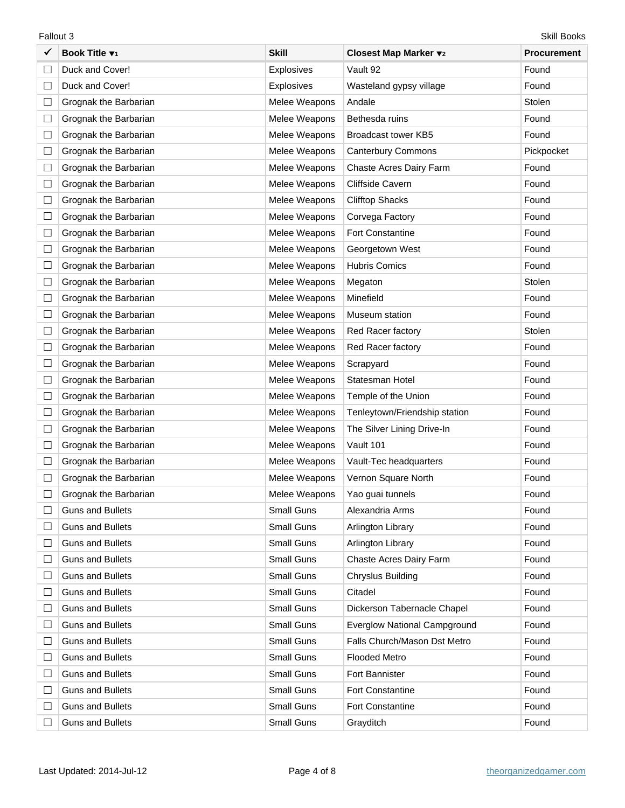|        | Skill Books<br>Fallout 3  |               |                                     |                    |  |  |
|--------|---------------------------|---------------|-------------------------------------|--------------------|--|--|
|        | Book Title v <sub>1</sub> | <b>Skill</b>  | Closest Map Marker v2               | <b>Procurement</b> |  |  |
| $\Box$ | Duck and Cover!           | Explosives    | Vault 92                            | Found              |  |  |
| ⊔      | Duck and Cover!           | Explosives    | Wasteland gypsy village             | Found              |  |  |
| ⊔      | Grognak the Barbarian     | Melee Weapons | Andale                              | Stolen             |  |  |
| $\Box$ | Grognak the Barbarian     | Melee Weapons | Bethesda ruins                      | Found              |  |  |
| ⊔      | Grognak the Barbarian     | Melee Weapons | Broadcast tower KB5                 | Found              |  |  |
| ⊔      | Grognak the Barbarian     | Melee Weapons | <b>Canterbury Commons</b>           | Pickpocket         |  |  |
| $\Box$ | Grognak the Barbarian     | Melee Weapons | Chaste Acres Dairy Farm             | Found              |  |  |
| ⊔      | Grognak the Barbarian     | Melee Weapons | Cliffside Cavern                    | Found              |  |  |
| ⊔      | Grognak the Barbarian     | Melee Weapons | <b>Clifftop Shacks</b>              | Found              |  |  |
| $\Box$ | Grognak the Barbarian     | Melee Weapons | Corvega Factory                     | Found              |  |  |
| ⊔      | Grognak the Barbarian     | Melee Weapons | <b>Fort Constantine</b>             | Found              |  |  |
| ⊔      | Grognak the Barbarian     | Melee Weapons | Georgetown West                     | Found              |  |  |
| $\Box$ | Grognak the Barbarian     | Melee Weapons | <b>Hubris Comics</b>                | Found              |  |  |
| ⊔      | Grognak the Barbarian     | Melee Weapons | Megaton                             | Stolen             |  |  |
| ⊔      | Grognak the Barbarian     | Melee Weapons | Minefield                           | Found              |  |  |
| $\Box$ | Grognak the Barbarian     | Melee Weapons | Museum station                      | Found              |  |  |
| ⊔      | Grognak the Barbarian     | Melee Weapons | Red Racer factory                   | Stolen             |  |  |
| ⊔      | Grognak the Barbarian     | Melee Weapons | Red Racer factory                   | Found              |  |  |
| $\Box$ | Grognak the Barbarian     | Melee Weapons | Scrapyard                           | Found              |  |  |
| ⊔      | Grognak the Barbarian     | Melee Weapons | Statesman Hotel                     | Found              |  |  |
| ⊔      | Grognak the Barbarian     | Melee Weapons | Temple of the Union                 | Found              |  |  |
| ⊔      | Grognak the Barbarian     | Melee Weapons | Tenleytown/Friendship station       | Found              |  |  |
| ⊔      | Grognak the Barbarian     | Melee Weapons | The Silver Lining Drive-In          | Found              |  |  |
| ⊔      | Grognak the Barbarian     | Melee Weapons | Vault 101                           | Found              |  |  |
|        | Grognak the Barbarian     | Melee Weapons | Vault-Tec headquarters              | Found              |  |  |
|        | Grognak the Barbarian     | Melee Weapons | Vernon Square North                 | Found              |  |  |
|        | Grognak the Barbarian     | Melee Weapons | Yao guai tunnels                    | Found              |  |  |
| ⊔      | <b>Guns and Bullets</b>   | Small Guns    | Alexandria Arms                     | Found              |  |  |
| ⊔      | <b>Guns and Bullets</b>   | Small Guns    | Arlington Library                   | Found              |  |  |
| ⊔      | <b>Guns and Bullets</b>   | Small Guns    | Arlington Library                   | Found              |  |  |
| $\Box$ | <b>Guns and Bullets</b>   | Small Guns    | Chaste Acres Dairy Farm             | Found              |  |  |
| ⊔      | <b>Guns and Bullets</b>   | Small Guns    | Chryslus Building                   | Found              |  |  |
| $\Box$ | <b>Guns and Bullets</b>   | Small Guns    | Citadel                             | Found              |  |  |
| Ш      | <b>Guns and Bullets</b>   | Small Guns    | Dickerson Tabernacle Chapel         | Found              |  |  |
| ⊔      | <b>Guns and Bullets</b>   | Small Guns    | <b>Everglow National Campground</b> | Found              |  |  |
| $\Box$ | <b>Guns and Bullets</b>   | Small Guns    | Falls Church/Mason Dst Metro        | Found              |  |  |
| Ш      | <b>Guns and Bullets</b>   | Small Guns    | <b>Flooded Metro</b>                | Found              |  |  |
| ⊔      | <b>Guns and Bullets</b>   | Small Guns    | Fort Bannister                      | Found              |  |  |
| ⊔      | <b>Guns and Bullets</b>   | Small Guns    | <b>Fort Constantine</b>             | Found              |  |  |
| ⊔      | <b>Guns and Bullets</b>   | Small Guns    | <b>Fort Constantine</b>             | Found              |  |  |
|        | <b>Guns and Bullets</b>   | Small Guns    | Grayditch                           | Found              |  |  |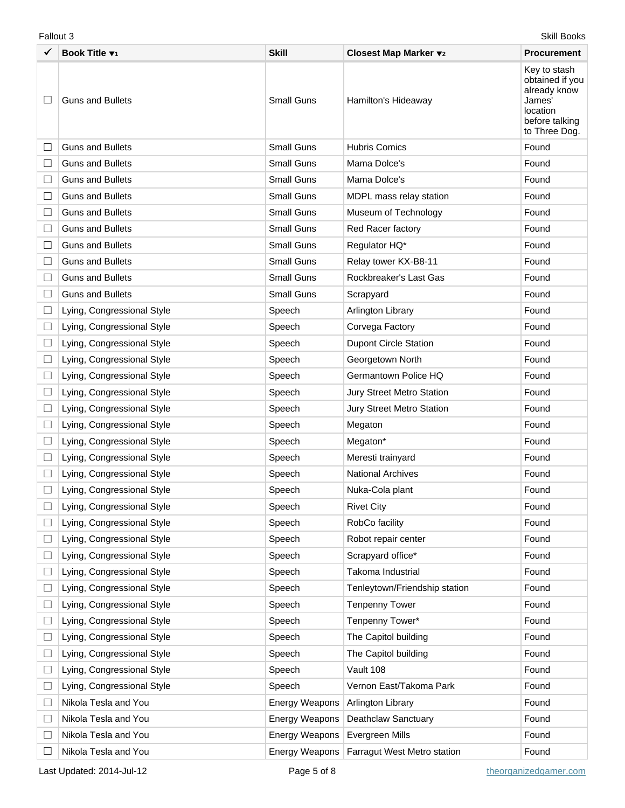|        | Skill Books<br>Fallout 3   |                       |                               |                                                                                                          |  |
|--------|----------------------------|-----------------------|-------------------------------|----------------------------------------------------------------------------------------------------------|--|
|        | Book Title v1              | <b>Skill</b>          | Closest Map Marker v2         | <b>Procurement</b>                                                                                       |  |
|        | <b>Guns and Bullets</b>    | <b>Small Guns</b>     | Hamilton's Hideaway           | Key to stash<br>obtained if you<br>already know<br>James'<br>location<br>before talking<br>to Three Dog. |  |
| ப      | <b>Guns and Bullets</b>    | Small Guns            | <b>Hubris Comics</b>          | Found                                                                                                    |  |
| $\Box$ | <b>Guns and Bullets</b>    | <b>Small Guns</b>     | Mama Dolce's                  | Found                                                                                                    |  |
| $\Box$ | <b>Guns and Bullets</b>    | <b>Small Guns</b>     | Mama Dolce's                  | Found                                                                                                    |  |
| Ш      | <b>Guns and Bullets</b>    | Small Guns            | MDPL mass relay station       | Found                                                                                                    |  |
| $\Box$ | <b>Guns and Bullets</b>    | <b>Small Guns</b>     | Museum of Technology          | Found                                                                                                    |  |
| $\Box$ | <b>Guns and Bullets</b>    | <b>Small Guns</b>     | Red Racer factory             | Found                                                                                                    |  |
| Ш      | <b>Guns and Bullets</b>    | Small Guns            | Regulator HQ*                 | Found                                                                                                    |  |
| ⊔      | <b>Guns and Bullets</b>    | <b>Small Guns</b>     | Relay tower KX-B8-11          | Found                                                                                                    |  |
| $\Box$ | <b>Guns and Bullets</b>    | <b>Small Guns</b>     | Rockbreaker's Last Gas        | Found                                                                                                    |  |
| ⊔      | <b>Guns and Bullets</b>    | Small Guns            | Scrapyard                     | Found                                                                                                    |  |
| $\Box$ | Lying, Congressional Style | Speech                | Arlington Library             | Found                                                                                                    |  |
| ⊔      | Lying, Congressional Style | Speech                | Corvega Factory               | Found                                                                                                    |  |
| ⊔      | Lying, Congressional Style | Speech                | <b>Dupont Circle Station</b>  | Found                                                                                                    |  |
| $\Box$ | Lying, Congressional Style | Speech                | Georgetown North              | Found                                                                                                    |  |
| $\Box$ | Lying, Congressional Style | Speech                | Germantown Police HQ          | Found                                                                                                    |  |
| ⊔      | Lying, Congressional Style | Speech                | Jury Street Metro Station     | Found                                                                                                    |  |
| $\Box$ | Lying, Congressional Style | Speech                | Jury Street Metro Station     | Found                                                                                                    |  |
| $\Box$ | Lying, Congressional Style | Speech                | Megaton                       | Found                                                                                                    |  |
| ⊔      | Lying, Congressional Style | Speech                | Megaton*                      | Found                                                                                                    |  |
| □      | Lying, Congressional Style | Speech                | Meresti trainyard             | Found                                                                                                    |  |
|        | Lying, Congressional Style | Speech                | <b>National Archives</b>      | Found                                                                                                    |  |
|        | Lying, Congressional Style | Speech                | Nuka-Cola plant               | Found                                                                                                    |  |
| ⊔      | Lying, Congressional Style | Speech                | <b>Rivet City</b>             | Found                                                                                                    |  |
| ⊔      | Lying, Congressional Style | Speech                | RobCo facility                | Found                                                                                                    |  |
| ⊔      | Lying, Congressional Style | Speech                | Robot repair center           | Found                                                                                                    |  |
| $\Box$ | Lying, Congressional Style | Speech                | Scrapyard office*             | Found                                                                                                    |  |
| Ш      | Lying, Congressional Style | Speech                | Takoma Industrial             | Found                                                                                                    |  |
| $\Box$ | Lying, Congressional Style | Speech                | Tenleytown/Friendship station | Found                                                                                                    |  |
| $\Box$ | Lying, Congressional Style | Speech                | <b>Tenpenny Tower</b>         | Found                                                                                                    |  |
| Ш      | Lying, Congressional Style | Speech                | Tenpenny Tower*               | Found                                                                                                    |  |
| ⊔      | Lying, Congressional Style | Speech                | The Capitol building          | Found                                                                                                    |  |
| $\Box$ | Lying, Congressional Style | Speech                | The Capitol building          | Found                                                                                                    |  |
| $\Box$ | Lying, Congressional Style | Speech                | Vault 108                     | Found                                                                                                    |  |
| ⊔      | Lying, Congressional Style | Speech                | Vernon East/Takoma Park       | Found                                                                                                    |  |
| $\Box$ | Nikola Tesla and You       | <b>Energy Weapons</b> | Arlington Library             | Found                                                                                                    |  |
| ∟      | Nikola Tesla and You       | <b>Energy Weapons</b> | Deathclaw Sanctuary           | Found                                                                                                    |  |
| $\Box$ | Nikola Tesla and You       | Energy Weapons        | Evergreen Mills               | Found                                                                                                    |  |
| $\Box$ | Nikola Tesla and You       | Energy Weapons        | Farragut West Metro station   | Found                                                                                                    |  |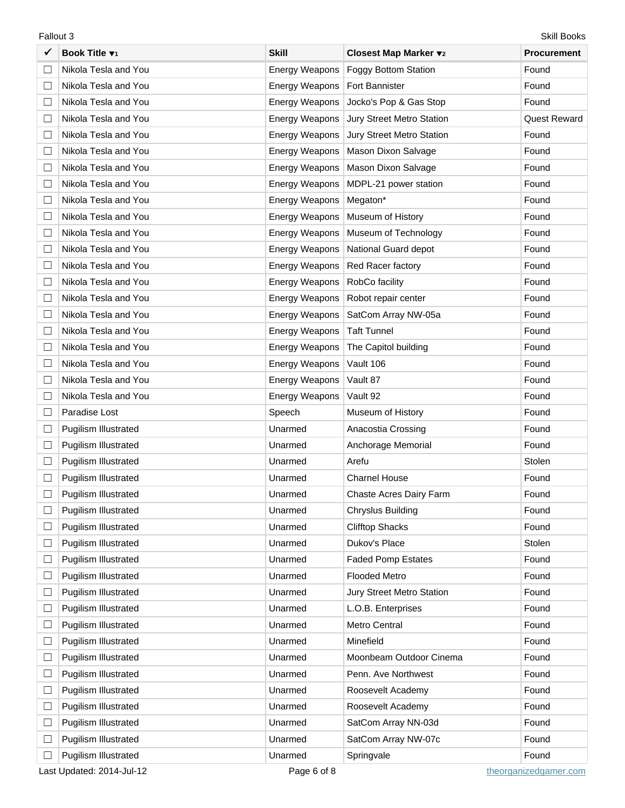|        | Skill Books<br>Fallout 3    |                       |                             |                     |  |
|--------|-----------------------------|-----------------------|-----------------------------|---------------------|--|
|        | Book Title v <sub>1</sub>   | <b>Skill</b>          | Closest Map Marker v2       | <b>Procurement</b>  |  |
| $\Box$ | Nikola Tesla and You        | <b>Energy Weapons</b> | <b>Foggy Bottom Station</b> | Found               |  |
| ⊔      | Nikola Tesla and You        | Energy Weapons        | <b>Fort Bannister</b>       | Found               |  |
| $\Box$ | Nikola Tesla and You        | Energy Weapons        | Jocko's Pop & Gas Stop      | Found               |  |
| $\Box$ | Nikola Tesla and You        | <b>Energy Weapons</b> | Jury Street Metro Station   | <b>Quest Reward</b> |  |
| ⊔      | Nikola Tesla and You        | <b>Energy Weapons</b> | Jury Street Metro Station   | Found               |  |
| $\Box$ | Nikola Tesla and You        | Energy Weapons        | Mason Dixon Salvage         | Found               |  |
| $\Box$ | Nikola Tesla and You        | <b>Energy Weapons</b> | Mason Dixon Salvage         | Found               |  |
| ⊔      | Nikola Tesla and You        | Energy Weapons        | MDPL-21 power station       | Found               |  |
| $\Box$ | Nikola Tesla and You        | Energy Weapons        | Megaton*                    | Found               |  |
| $\Box$ | Nikola Tesla and You        | <b>Energy Weapons</b> | Museum of History           | Found               |  |
| ⊔      | Nikola Tesla and You        | Energy Weapons        | Museum of Technology        | Found               |  |
| $\Box$ | Nikola Tesla and You        | Energy Weapons        | National Guard depot        | Found               |  |
| $\Box$ | Nikola Tesla and You        | <b>Energy Weapons</b> | Red Racer factory           | Found               |  |
| ⊔      | Nikola Tesla and You        | Energy Weapons        | RobCo facility              | Found               |  |
| $\Box$ | Nikola Tesla and You        | Energy Weapons        | Robot repair center         | Found               |  |
| $\Box$ | Nikola Tesla and You        | <b>Energy Weapons</b> | SatCom Array NW-05a         | Found               |  |
| ⊔      | Nikola Tesla and You        | <b>Energy Weapons</b> | <b>Taft Tunnel</b>          | Found               |  |
| $\Box$ | Nikola Tesla and You        | <b>Energy Weapons</b> | The Capitol building        | Found               |  |
| $\Box$ | Nikola Tesla and You        | <b>Energy Weapons</b> | Vault 106                   | Found               |  |
| $\Box$ | Nikola Tesla and You        | <b>Energy Weapons</b> | Vault 87                    | Found               |  |
| $\Box$ | Nikola Tesla and You        | <b>Energy Weapons</b> | Vault 92                    | Found               |  |
| $\Box$ | Paradise Lost               | Speech                | Museum of History           | Found               |  |
| $\Box$ | <b>Pugilism Illustrated</b> | Unarmed               | Anacostia Crossing          | Found               |  |
| $\Box$ | Pugilism Illustrated        | Unarmed               | Anchorage Memorial          | Found               |  |
| $\Box$ | Pugilism Illustrated        | Unarmed               | Arefu                       | Stolen              |  |
|        | <b>Pugilism Illustrated</b> | Unarmed               | <b>Charnel House</b>        | Found               |  |
|        | <b>Pugilism Illustrated</b> | Unarmed               | Chaste Acres Dairy Farm     | Found               |  |
| $\Box$ | <b>Pugilism Illustrated</b> | Unarmed               | Chryslus Building           | Found               |  |
| $\Box$ | <b>Pugilism Illustrated</b> | Unarmed               | <b>Clifftop Shacks</b>      | Found               |  |
| $\Box$ | Pugilism Illustrated        | Unarmed               | Dukov's Place               | Stolen              |  |
| $\Box$ | <b>Pugilism Illustrated</b> | Unarmed               | <b>Faded Pomp Estates</b>   | Found               |  |
| $\Box$ | <b>Pugilism Illustrated</b> | Unarmed               | <b>Flooded Metro</b>        | Found               |  |
| $\Box$ | Pugilism Illustrated        | Unarmed               | Jury Street Metro Station   | Found               |  |
| $\Box$ | <b>Pugilism Illustrated</b> | Unarmed               | L.O.B. Enterprises          | Found               |  |
| $\Box$ | Pugilism Illustrated        | Unarmed               | Metro Central               | Found               |  |
| $\Box$ | Pugilism Illustrated        | Unarmed               | Minefield                   | Found               |  |
| $\Box$ | <b>Pugilism Illustrated</b> | Unarmed               | Moonbeam Outdoor Cinema     | Found               |  |
| $\Box$ | Pugilism Illustrated        | Unarmed               | Penn. Ave Northwest         | Found               |  |
| $\Box$ | Pugilism Illustrated        | Unarmed               | Roosevelt Academy           | Found               |  |
| $\Box$ | <b>Pugilism Illustrated</b> | Unarmed               | Roosevelt Academy           | Found               |  |
| $\Box$ | <b>Pugilism Illustrated</b> | Unarmed               | SatCom Array NN-03d         | Found               |  |
| $\Box$ | Pugilism Illustrated        | Unarmed               | SatCom Array NW-07c         | Found               |  |
| ⊔      | <b>Pugilism Illustrated</b> | Unarmed               | Springvale                  | Found               |  |

Last Updated: 2014-Jul-12 **Page 6 of 8** [theorganizedgamer.com](http://www.theorganizedgamer.com/)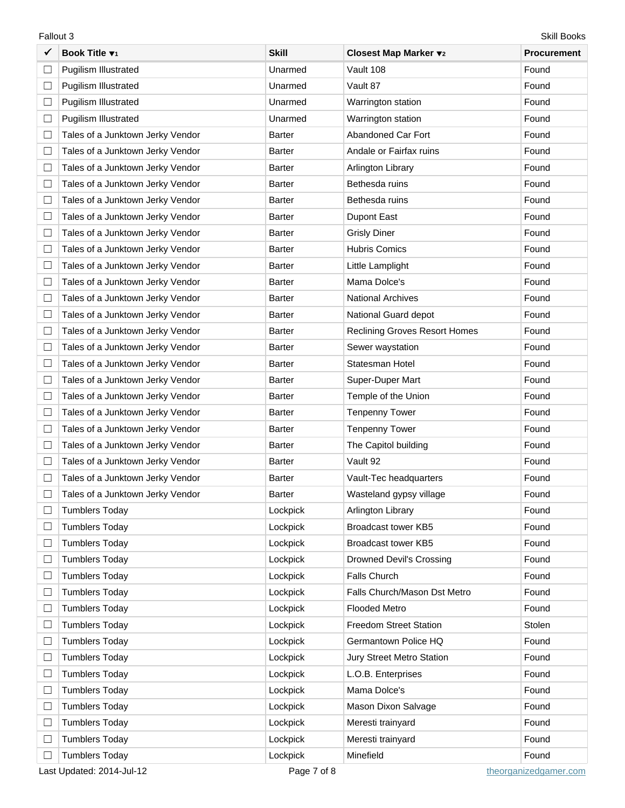9 **Book Title** T**<sup>1</sup> Skill Closest Map Marker** T**<sup>2</sup> Procurement** ܆ Pugilism Illustrated Unarmed Vault 108 Found ܆ Pugilism Illustrated Unarmed Vault 87 Found □ Pugilism Illustrated Town The Unarmed Warrington station Found Found □ Pugilism Illustrated Found Unarmed Warrington station Found Found □ Tales of a Junktown Jerky Vendor Barter Abandoned Car Fort Found □ Tales of a Junktown Jerky Vendor Barter Andale or Fairfax ruins Found Found □ Tales of a Junktown Jerky Vendor Barter Arlington Library Found Found □ Tales of a Junktown Jerky Vendor Barter Barter Bethesda ruins Found □ Tales of a Junktown Jerky Vendor Barter Barter Bethesda ruins Found □ Tales of a Junktown Jerky Vendor Barter Barter Bupont East Found □ Tales of a Junktown Jerky Vendor Barter Grisly Diner Gristy Diner Found □ Tales of a Junktown Jerky Vendor Barter Hubris Comics Found Found □ Tales of a Junktown Jerky Vendor Barter Little Lamplight Little Lamplight Found □ Tales of a Junktown Jerky Vendor Barter Mama Dolce's Found □ Tales of a Junktown Jerky Vendor Barter National Archives Found □ Tales of a Junktown Jerky Vendor Barter National Guard depot Found □ Tales of a Junktown Jerky Vendor Barter Reclining Groves Resort Homes Found □ Tales of a Junktown Jerky Vendor Barter Sewer waystation Sewer waystation Found □ Tales of a Junktown Jerky Vendor Barter Statesman Hotel Statesman Hotel Found □ Tales of a Junktown Jerky Vendor Barter Barter Super-Duper Mart Super-Buper Mart Found □ Tales of a Junktown Jerky Vendor Barter Temple of the Union Found Found □ Tales of a Junktown Jerky Vendor Barter Tenpenny Tower Tenpenny Tower Found □ Tales of a Junktown Jerky Vendor Barter Tenpenny Tower Tenpenny Tower Found □ Tales of a Junktown Jerky Vendor Barter The Capitol building Found Found □ Tales of a Junktown Jerky Vendor Barter Vault 92 Found □ Tales of a Junktown Jerky Vendor Barter Vault-Tec headquarters Found □ Tales of a Junktown Jerky Vendor Barter Nature Wasteland gypsy village Found □ Tumblers Today **No. 2018 Tumblers Today Research Arlington Library Research Arlington Library Research Arlington Library Research Arlington Library Research Research Arlington Library Research Research Research Resear** □ Tumblers Today **Example Total Struck Area** Lockpick Broadcast tower KB5 Found □ Tumblers Today **Example Total Acception** Lockpick Broadcast tower KB5 Found □ Tumblers Today **No. 2018 Tumblers Today Lockpick** Drowned Devil's Crossing Found □ Tumblers Today Lockpick Falls Church Found Found Found ܆ Tumblers Today Lockpick Falls Church/Mason Dst Metro Found ܆ Tumblers Today Lockpick Flooded Metro Found □ Tumblers Today Note and Acception Control Control Control Control Control Control Control Control Control Control Control Control Control Control Control Control Control Control Control Control Control Control Control C ܆ Tumblers Today Lockpick Germantown Police HQ Found □ Tumblers Today Tumblers Today Tumblers Today Tumblers Today Tumblers Today Tumblers Today Tound □ Tumblers Today **LOCKPICK TOWER TOWER** L.O.B. Enterprises Found □ Tumblers Today Tour Contract Contract Lockpick Mama Dolce's Tumblers Today Found □ Tumblers Today Town The Cockpick Mason Dixon Salvage Found □ Tumblers Today **Network** Lockpick Meresti trainyard **Found** Found □ Tumblers Today **Network** Lockpick Meresti trainyard **Found** Found

Fallout 3 Skill Books

□ Tumblers Today Lockpick Minefield Nimefield Found